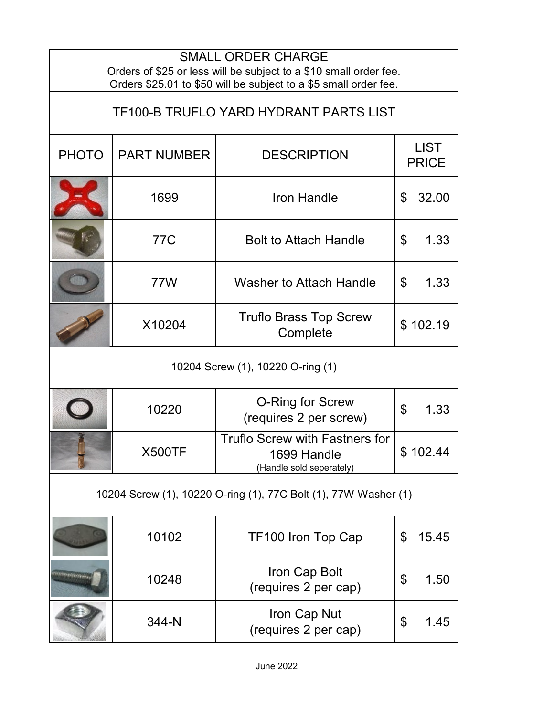| <b>SMALL ORDER CHARGE</b><br>Orders of \$25 or less will be subject to a \$10 small order fee.<br>Orders \$25.01 to \$50 will be subject to a \$5 small order fee. |                    |                                                                                  |                                   |  |  |
|--------------------------------------------------------------------------------------------------------------------------------------------------------------------|--------------------|----------------------------------------------------------------------------------|-----------------------------------|--|--|
| TF100-B TRUFLO YARD HYDRANT PARTS LIST                                                                                                                             |                    |                                                                                  |                                   |  |  |
| <b>PHOTO</b>                                                                                                                                                       | <b>PART NUMBER</b> | <b>DESCRIPTION</b>                                                               | <b>LIST</b><br><b>PRICE</b>       |  |  |
|                                                                                                                                                                    | 1699               | <b>Iron Handle</b>                                                               | 32.00<br>\$                       |  |  |
|                                                                                                                                                                    | 77C                | <b>Bolt to Attach Handle</b>                                                     | 1.33<br>\$                        |  |  |
|                                                                                                                                                                    | 77W                | <b>Washer to Attach Handle</b>                                                   | \$<br>1.33                        |  |  |
|                                                                                                                                                                    | X10204             | <b>Truflo Brass Top Screw</b><br>Complete                                        | \$102.19                          |  |  |
| 10204 Screw (1), 10220 O-ring (1)                                                                                                                                  |                    |                                                                                  |                                   |  |  |
|                                                                                                                                                                    | 10220              | <b>O-Ring for Screw</b><br>(requires 2 per screw)                                | $\boldsymbol{\mathsf{S}}$<br>1.33 |  |  |
|                                                                                                                                                                    | <b>X500TF</b>      | <b>Truflo Screw with Fastners for</b><br>1699 Handle<br>(Handle sold seperately) | \$102.44                          |  |  |
| 10204 Screw (1), 10220 O-ring (1), 77C Bolt (1), 77W Washer (1)                                                                                                    |                    |                                                                                  |                                   |  |  |
|                                                                                                                                                                    | 10102              | TF100 Iron Top Cap                                                               | \$<br>15.45                       |  |  |
| Anisoneru eritetten                                                                                                                                                | 10248              | Iron Cap Bolt<br>(requires 2 per cap)                                            | \$<br>1.50                        |  |  |
|                                                                                                                                                                    | 344-N              | Iron Cap Nut<br>(requires 2 per cap)                                             | \$<br>1.45                        |  |  |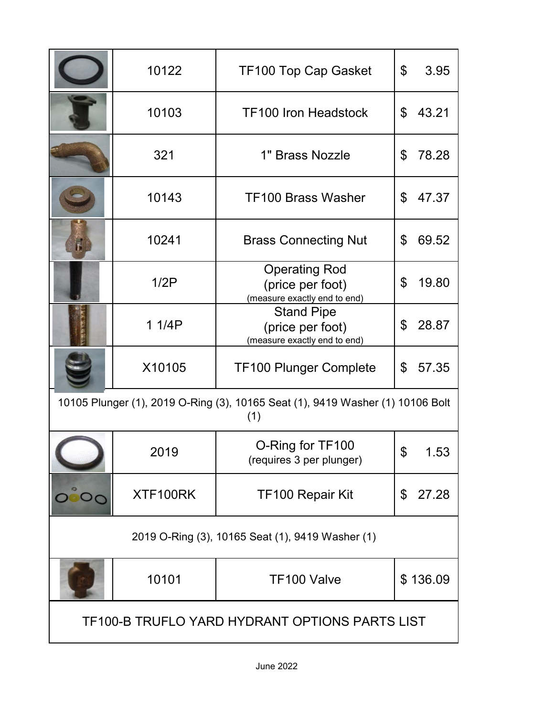|                                                                                       | 10122    | TF100 Top Cap Gasket                                                     | 3.95<br>\$              |  |  |
|---------------------------------------------------------------------------------------|----------|--------------------------------------------------------------------------|-------------------------|--|--|
|                                                                                       | 10103    | <b>TF100 Iron Headstock</b>                                              | 43.21<br>$\mathfrak{L}$ |  |  |
|                                                                                       | 321      | 1" Brass Nozzle                                                          | 78.28<br>\$             |  |  |
|                                                                                       | 10143    | <b>TF100 Brass Washer</b>                                                | 47.37<br>\$             |  |  |
| $\mathbf{E}$                                                                          | 10241    | <b>Brass Connecting Nut</b>                                              | \$<br>69.52             |  |  |
|                                                                                       | 1/2P     | <b>Operating Rod</b><br>(price per foot)<br>(measure exactly end to end) | \$<br>19.80             |  |  |
|                                                                                       | 1 1/4P   | <b>Stand Pipe</b><br>(price per foot)<br>(measure exactly end to end)    | 28.87<br>\$             |  |  |
|                                                                                       | X10105   | <b>TF100 Plunger Complete</b>                                            | \$<br>57.35             |  |  |
| 10105 Plunger (1), 2019 O-Ring (3), 10165 Seat (1), 9419 Washer (1) 10106 Bolt<br>(1) |          |                                                                          |                         |  |  |
|                                                                                       | 2019     | O-Ring for TF100<br>(requires 3 per plunger)                             | \$<br>53                |  |  |
|                                                                                       | XTF100RK | <b>TF100 Repair Kit</b>                                                  | \$<br>27.28             |  |  |
| 2019 O-Ring (3), 10165 Seat (1), 9419 Washer (1)                                      |          |                                                                          |                         |  |  |
|                                                                                       | 10101    | TF100 Valve                                                              | \$136.09                |  |  |
| TF100-B TRUFLO YARD HYDRANT OPTIONS PARTS LIST                                        |          |                                                                          |                         |  |  |